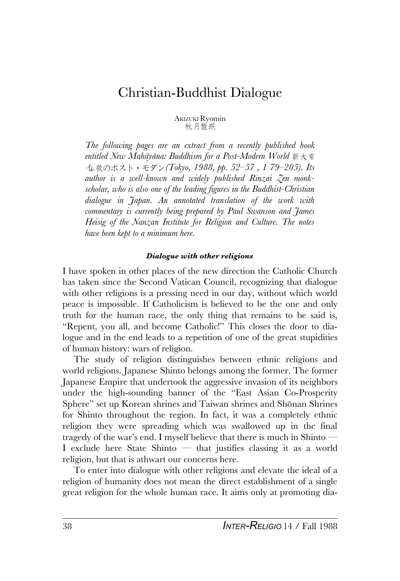# Christian-Buddhist Dialogue

AKIZUKI Ryomin 秋 月龍 抿

*The following pages are an extract from a recently published book entitled* New Mahāyāna: Buddhism for a Post-Modern World 新大乗 *-*&\*()\_+|`12*(Tokyo, 1988, pp. 52–57 , 1 79–205). Its author is a well-known and widely published Rinzai Zen monkscholar, who is also one of the leading figures in the Buddhist-Christian dialogue in Japan. An annotated translation of the work with commentary is currently being prepared by Paul Swanson and James Heisig of the Nanzan Institute for Religion and Culture. The notes have been kept to a minimum here.*

#### *Dialogue with other religions*

I have spoken in other places of the new direction the Catholic Church has taken since the Second Vatican Council, recognizing that dialogue with other religions is a pressing need in our day, without which world peace is impossible. If Catholicism is believed to be the one and only truth for the human race, the only thing that remains to be said is, "Repent, you all, and become Catholic!" This closes the door to dialogue and in the end leads to a repetition of one of the great stupidities of human history: wars of religion.

The study of religion distinguishes between ethnic religions and world religions. Japanese Shinto belongs among the former. The former Japanese Empire that undertook the aggressive invasion of its neighbors under the high-sounding banner of the "East Asian Co-Prosperity Sphere" set up Korean shrines and Taiwan shrines and Shõnan Shrines for Shinto throughout the region. In fact, it was a completely ethnic religion they were spreading which was swallowed up in the final tragedy of the war's end. I myself believe that there is much in Shinto — I exclude here State Shinto — that justifies classing it as a world religion, but that is athwart our concerns here.

To enter into dialogue with other religions and elevate the ideal of a religion of humanity does not mean the direct establishment of a single great religion for the whole human race. It aims only at promoting dia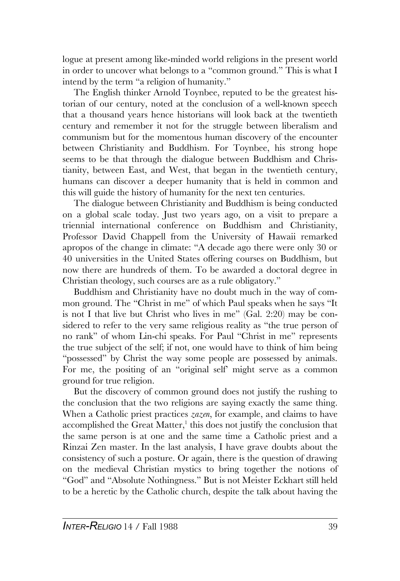logue at present among like-minded world religions in the present world in order to uncover what belongs to a "common ground." This is what I intend by the term "a religion of humanity."

The English thinker Arnold Toynbee, reputed to be the greatest historian of our century, noted at the conclusion of a well-known speech that a thousand years hence historians will look back at the twentieth century and remember it not for the struggle between liberalism and communism but for the momentous human discovery of the encounter between Christianity and Buddhism. For Toynbee, his strong hope seems to be that through the dialogue between Buddhism and Christianity, between East, and West, that began in the twentieth century, humans can discover a deeper humanity that is held in common and this will guide the history of humanity for the next ten centuries.

The dialogue between Christianity and Buddhism is being conducted on a global scale today. Just two years ago, on a visit to prepare a triennial international conference on Buddhism and Christianity, Professor David Chappell from the University of Hawaii remarked apropos of the change in climate: "A decade ago there were only 30 or 40 universities in the United States offering courses on Buddhism, but now there are hundreds of them. To be awarded a doctoral degree in Christian theology, such courses are as a rule obligatory."

Buddhism and Christianity have no doubt much in the way of common ground. The "Christ in me" of which Paul speaks when he says "It is not I that live but Christ who lives in me" (Gal. 2:20) may be considered to refer to the very same religious reality as "the true person of no rank" of whom Lin-chi speaks. For Paul "Christ in me" represents the true subject of the self; if not, one would have to think of him being "possessed" by Christ the way some people are possessed by animals. For me, the positing of an "original self' might serve as a common ground for true religion.

But the discovery of common ground does not justify the rushing to the conclusion that the two religions are saying exactly the same thing. When a Catholic priest practices *zazen*, for example, and claims to have accomplished the Great Matter,<sup>1</sup> this does not justify the conclusion that the same person is at one and the same time a Catholic priest and a Rinzai Zen master. In the last analysis, I have grave doubts about the consistency of such a posture. Or again, there is the question of drawing on the medieval Christian mystics to bring together the notions of "God" and "Absolute Nothingness." But is not Meister Eckhart still held to be a heretic by the Catholic church, despite the talk about having the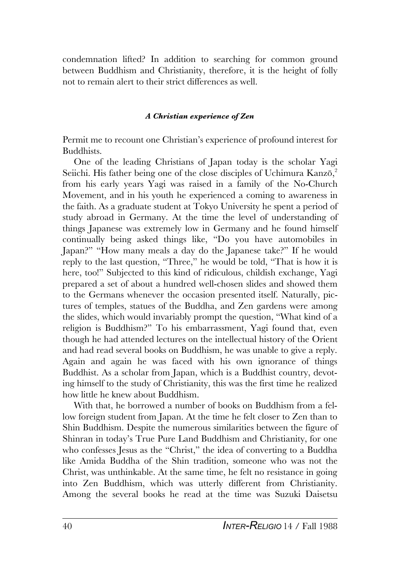condemnation lifted? In addition to searching for common ground between Buddhism and Christianity, therefore, it is the height of folly not to remain alert to their strict differences as well.

### *A Christian experience of Zen*

Permit me to recount one Christian's experience of profound interest for Buddhists.

One of the leading Christians of Japan today is the scholar Yagi Seiichi. His father being one of the close disciples of Uchimura Kanzō,<sup>2</sup> from his early years Yagi was raised in a family of the No-Church Movement, and in his youth he experienced a coming to awareness in the faith. As a graduate student at Tokyo University he spent a period of study abroad in Germany. At the time the level of understanding of things Japanese was extremely low in Germany and he found himself continually being asked things like, "Do you have automobiles in Japan?" "How many meals a day do the Japanese take?" If he would reply to the last question, "Three," he would be told, "That is how it is here, too!" Subjected to this kind of ridiculous, childish exchange, Yagi prepared a set of about a hundred well-chosen slides and showed them to the Germans whenever the occasion presented itself. Naturally, pictures of temples, statues of the Buddha, and Zen gardens were among the slides, which would invariably prompt the question, "What kind of a religion is Buddhism?" To his embarrassment, Yagi found that, even though he had attended lectures on the intellectual history of the Orient and had read several books on Buddhism, he was unable to give a reply. Again and again he was faced with his own ignorance of things Buddhist. As a scholar from Japan, which is a Buddhist country, devoting himself to the study of Christianity, this was the first time he realized how little he knew about Buddhism.

With that, he borrowed a number of books on Buddhism from a fellow foreign student from Japan. At the time he felt closer to Zen than to Shin Buddhism. Despite the numerous similarities between the figure of Shinran in today's True Pure Land Buddhism and Christianity, for one who confesses Jesus as the "Christ," the idea of converting to a Buddha like Amida Buddha of the Shin tradition, someone who was not the Christ, was unthinkable. At the same time, he felt no resistance in going into Zen Buddhism, which was utterly different from Christianity. Among the several books he read at the time was Suzuki Daisetsu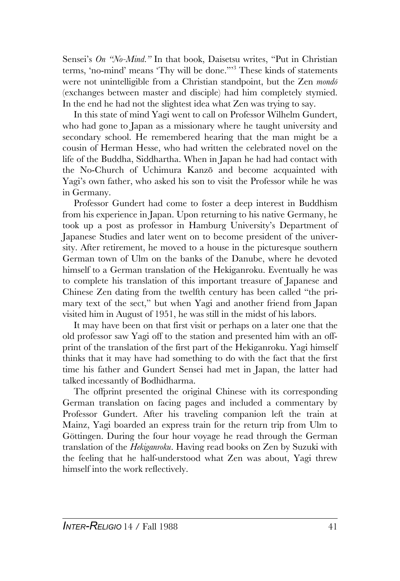Sensei's *On "No-Mind."* In that book, Daisetsu writes, "Put in Christian terms, 'no-mind' means 'Thy will be done."'<sup>3</sup> These kinds of statements were not unintelligible from a Christian standpoint, but the Zen *mondõ* (exchanges between master and disciple) had him completely stymied. In the end he had not the slightest idea what Zen was trying to say.

In this state of mind Yagi went to call on Professor Wilhelm Gundert, who had gone to Japan as a missionary where he taught university and secondary school. He remembered hearing that the man might be a cousin of Herman Hesse, who had written the celebrated novel on the life of the Buddha, Siddhartha. When in Japan he had had contact with the No-Church of Uchimura Kanzõ and become acquainted with Yagi's own father, who asked his son to visit the Professor while he was in Germany.

Professor Gundert had come to foster a deep interest in Buddhism from his experience in Japan. Upon returning to his native Germany, he took up a post as professor in Hamburg University's Department of Japanese Studies and later went on to become president of the university. After retirement, he moved to a house in the picturesque southern German town of Ulm on the banks of the Danube, where he devoted himself to a German translation of the Hekiganroku. Eventually he was to complete his translation of this important treasure of Japanese and Chinese Zen dating from the twelfth century has been called "the primary text of the sect," but when Yagi and another friend from Japan visited him in August of 1951, he was still in the midst of his labors.

It may have been on that first visit or perhaps on a later one that the old professor saw Yagi off to the station and presented him with an offprint of the translation of the first part of the Hekiganroku. Yagi himself thinks that it may have had something to do with the fact that the first time his father and Gundert Sensei had met in Japan, the latter had talked incessantly of Bodhidharma.

The offprint presented the original Chinese with its corresponding German translation on facing pages and included a commentary by Professor Gundert. After his traveling companion left the train at Mainz, Yagi boarded an express train for the return trip from Ulm to Göttingen. During the four hour voyage he read through the German translation of the *Hekiganroku*. Having read books on Zen by Suzuki with the feeling that he half-understood what Zen was about, Yagi threw himself into the work reflectively.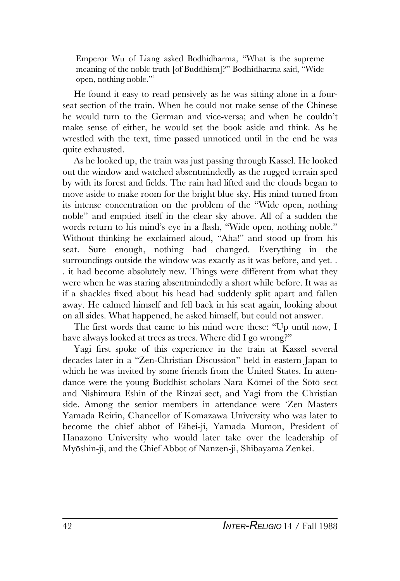Emperor Wu of Liang asked Bodhidharma, "What is the supreme meaning of the noble truth [of Buddhism]?" Bodhidharma said, "Wide open, nothing noble."<sup>4</sup>

He found it easy to read pensively as he was sitting alone in a fourseat section of the train. When he could not make sense of the Chinese he would turn to the German and vice-versa; and when he couldn't make sense of either, he would set the book aside and think. As he wrestled with the text, time passed unnoticed until in the end he was quite exhausted.

As he looked up, the train was just passing through Kassel. He looked out the window and watched absentmindedly as the rugged terrain sped by with its forest and fields. The rain had lifted and the clouds began to move aside to make room for the bright blue sky. His mind turned from its intense concentration on the problem of the "Wide open, nothing noble" and emptied itself in the clear sky above. All of a sudden the words return to his mind's eye in a flash, "Wide open, nothing noble." Without thinking he exclaimed aloud, "Aha!" and stood up from his seat. Sure enough, nothing had changed. Everything in the surroundings outside the window was exactly as it was before, and yet. . . it had become absolutely new. Things were different from what they were when he was staring absentmindedly a short while before. It was as if a shackles fixed about his head had suddenly split apart and fallen away. He calmed himself and fell back in his seat again, looking about on all sides. What happened, he asked himself, but could not answer.

The first words that came to his mind were these: "Up until now, I have always looked at trees as trees. Where did I go wrong?"

Yagi first spoke of this experience in the train at Kassel several decades later in a "Zen-Christian Discussion" held in eastern Japan to which he was invited by some friends from the United States. In attendance were the young Buddhist scholars Nara Kõmei of the Sõtõ sect and Nishimura Eshin of the Rinzai sect, and Yagi from the Christian side. Among the senior members in attendance were 'Zen Masters Yamada Reirin, Chancellor of Komazawa University who was later to become the chief abbot of Eihei-ji, Yamada Mumon, President of Hanazono University who would later take over the leadership of Myõshin-ji, and the Chief Abbot of Nanzen-ji, Shibayama Zenkei.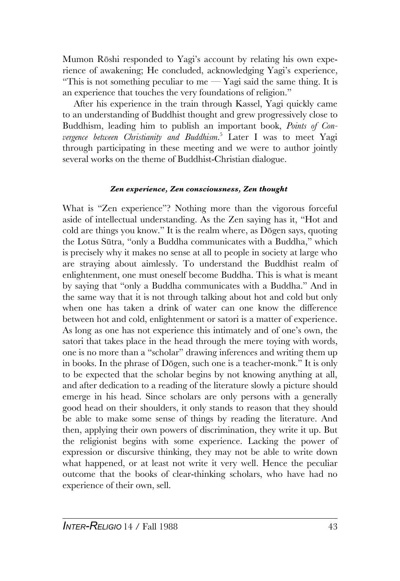Mumon Rõshi responded to Yagi's account by relating his own experience of awakening; He concluded, acknowledging Yagi's experience, "This is not something peculiar to me  $-$  Yagi said the same thing. It is an experience that touches the very foundations of religion."

After his experience in the train through Kassel, Yagi quickly came to an understanding of Buddhist thought and grew progressively close to Buddhism, leading him to publish an important book, *Points of Convergence between Christianity and Buddhism*. <sup>5</sup> Later I was to meet Yagi through participating in these meeting and we were to author jointly several works on the theme of Buddhist-Christian dialogue.

## *Zen experience, Zen consciousness, Zen thought*

What is "Zen experience"? Nothing more than the vigorous forceful aside of intellectual understanding. As the Zen saying has it, "Hot and cold are things you know." It is the realm where, as Dõgen says, quoting the Lotus Sûtra, "only a Buddha communicates with a Buddha," which is precisely why it makes no sense at all to people in society at large who are straying about aimlessly. To understand the Buddhist realm of enlightenment, one must oneself become Buddha. This is what is meant by saying that "only a Buddha communicates with a Buddha." And in the same way that it is not through talking about hot and cold but only when one has taken a drink of water can one know the difference between hot and cold, enlightenment or satori is a matter of experience. As long as one has not experience this intimately and of one's own, the satori that takes place in the head through the mere toying with words, one is no more than a "scholar" drawing inferences and writing them up in books. In the phrase of Dõgen, such one is a teacher-monk." It is only to be expected that the scholar begins by not knowing anything at all, and after dedication to a reading of the literature slowly a picture should emerge in his head. Since scholars are only persons with a generally good head on their shoulders, it only stands to reason that they should be able to make some sense of things by reading the literature. And then, applying their own powers of discrimination, they write it up. But the religionist begins with some experience. Lacking the power of expression or discursive thinking, they may not be able to write down what happened, or at least not write it very well. Hence the peculiar outcome that the books of clear-thinking scholars, who have had no experience of their own, sell.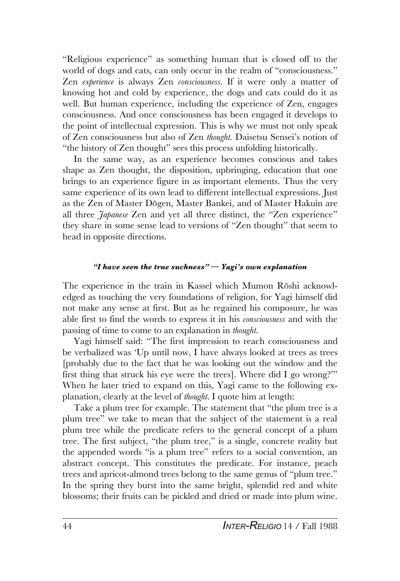"Religious experience" as something human that is closed off to the world of dogs and cats, can only occur in the realm of "consciousness." Zen *experience* is always Zen *consciousness*. If it were only a matter of knowing hot and cold by experience, the dogs and cats could do it as well. But human experience, including the experience of Zen, engages consciousness. And once consciousness has been engaged it develops to the point of intellectual expression. This is why we must not only speak of Zen consciousness but also of Zen *thought*. Daisetsu Sensei's notion of "the history of Zen thought" sees this process unfolding historically.

In the same way, as an experience becomes conscious and takes shape as Zen thought, the disposition, upbringing, education that one brings to an experience figure in as important elements. Thus the very same experience of its own lead to different intellectual expressions. Just as the Zen of Master Dõgen, Master Bankei, and of Master Hakuin are all three *Japanese* Zen and yet all three distinct, the "Zen experience" they share in some sense lead to versions of "Zen thought" that seem to head in opposite directions.

### *"I have seen the true suchness" — Yagi's own explanation*

The experience in the train in Kassel which Mumon Rõshi acknowledged as touching the very foundations of religion, for Yagi himself did not make any sense at first. But as he regained his composure, he was able first to find the words to express it in his *consciousness* and with the passing of time to come to an explanation in *thought*.

Yagi himself said: "The first impression to reach consciousness and be verbalized was 'Up until now, I have always looked at trees as trees [probably due to the fact that he was looking out the window and the first thing that struck his eye were the trees]. Where did I go wrong?'" When he later tried to expand on this, Yagi came to the following explanation, clearly at the level of *thought*. I quote him at length:

Take a plum tree for example. The statement that "the plum tree is a plum tree" we take to mean that the subject of the statement is a real plum tree while the predicate refers to the general concept of a plum tree. The first subject, "the plum tree," is a single, concrete reality but the appended words "is a plum tree" refers to a social convention, an abstract concept. This constitutes the predicate. For instance, peach trees and apricot-almond trees belong to the same genus of "plum tree." In the spring they burst into the same bright, splendid red and white blossoms; their fruits can be pickled and dried or made into plum wine.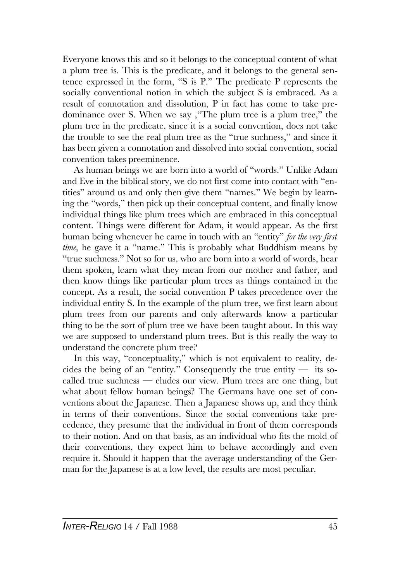Everyone knows this and so it belongs to the conceptual content of what a plum tree is. This is the predicate, and it belongs to the general sentence expressed in the form, "S is P." The predicate P represents the socially conventional notion in which the subject S is embraced. As a result of connotation and dissolution, P in fact has come to take predominance over S. When we say ,"The plum tree is a plum tree," the plum tree in the predicate, since it is a social convention, does not take the trouble to see the real plum tree as the "true suchness," and since it has been given a connotation and dissolved into social convention, social convention takes preeminence.

As human beings we are born into a world of "words." Unlike Adam and Eve in the biblical story, we do not first come into contact with "entities" around us and only then give them "names." We begin by learning the "words," then pick up their conceptual content, and finally know individual things like plum trees which are embraced in this conceptual content. Things were different for Adam, it would appear. As the first human being whenever he came in touch with an "entity" *for the very first time*, he gave it a "name." This is probably what Buddhism means by "true suchness." Not so for us, who are born into a world of words, hear them spoken, learn what they mean from our mother and father, and then know things like particular plum trees as things contained in the concept. As a result, the social convention P takes precedence over the individual entity S. In the example of the plum tree, we first learn about plum trees from our parents and only afterwards know a particular thing to be the sort of plum tree we have been taught about. In this way we are supposed to understand plum trees. But is this really the way to understand the concrete plum tree?

In this way, "conceptuality," which is not equivalent to reality, decides the being of an "entity." Consequently the true entity  $-$  its socalled true suchness — eludes our view. Plum trees are one thing, but what about fellow human beings? The Germans have one set of conventions about the Japanese. Then a Japanese shows up, and they think in terms of their conventions. Since the social conventions take precedence, they presume that the individual in front of them corresponds to their notion. And on that basis, as an individual who fits the mold of their conventions, they expect him to behave accordingly and even require it. Should it happen that the average understanding of the German for the Japanese is at a low level, the results are most peculiar.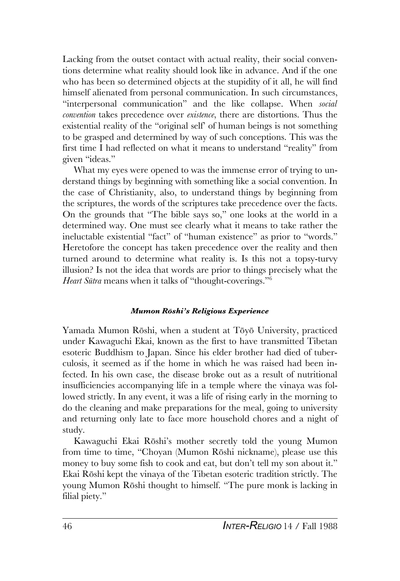Lacking from the outset contact with actual reality, their social conventions determine what reality should look like in advance. And if the one who has been so determined objects at the stupidity of it all, he will find himself alienated from personal communication. In such circumstances, "interpersonal communication" and the like collapse. When *social convention* takes precedence over *existence*, there are distortions. Thus the existential reality of the "original self' of human beings is not something to be grasped and determined by way of such conceptions. This was the first time I had reflected on what it means to understand "reality" from given "ideas."

What my eyes were opened to was the immense error of trying to understand things by beginning with something like a social convention. In the case of Christianity, also, to understand things by beginning from the scriptures, the words of the scriptures take precedence over the facts. On the grounds that "The bible says so," one looks at the world in a determined way. One must see clearly what it means to take rather the ineluctable existential "fact" of "human existence" as prior to "words." Heretofore the concept has taken precedence over the reality and then turned around to determine what reality is. Is this not a topsy-turvy illusion? Is not the idea that words are prior to things precisely what the *Heart Sûtra* means when it talks of "thought-coverings."<sup>6</sup>

#### *Mumon Rõshi's Religious Experience*

Yamada Mumon Rõshi, when a student at Tõyõ University, practiced under Kawaguchi Ekai, known as the first to have transmitted Tibetan esoteric Buddhism to Japan. Since his elder brother had died of tuberculosis, it seemed as if the home in which he was raised had been infected. In his own case, the disease broke out as a result of nutritional insufficiencies accompanying life in a temple where the vinaya was followed strictly. In any event, it was a life of rising early in the morning to do the cleaning and make preparations for the meal, going to university and returning only late to face more household chores and a night of study.

Kawaguchi Ekai Rõshi's mother secretly told the young Mumon from time to time, "Choyan (Mumon Rõshi nickname), please use this money to buy some fish to cook and eat, but don't tell my son about it." Ekai Rõshi kept the vinaya of the Tibetan esoteric tradition strictly. The young Mumon Rõshi thought to himself. "The pure monk is lacking in filial piety."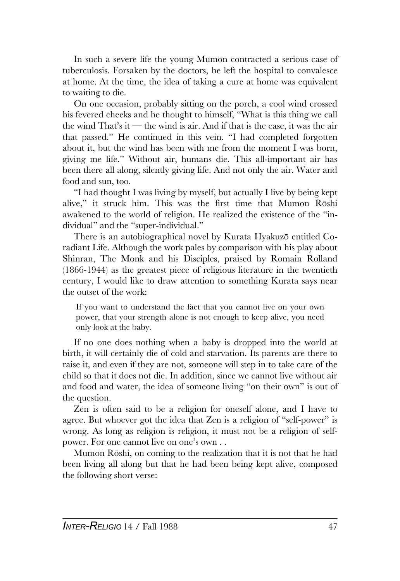In such a severe life the young Mumon contracted a serious case of tuberculosis. Forsaken by the doctors, he left the hospital to convalesce at home. At the time, the idea of taking a cure at home was equivalent to waiting to die.

On one occasion, probably sitting on the porch, a cool wind crossed his fevered cheeks and he thought to himself, "What is this thing we call the wind That's it — the wind is air. And if that is the case, it was the air that passed." He continued in this vein. "I had completed forgotten about it, but the wind has been with me from the moment I was born, giving me life." Without air, humans die. This all-important air has been there all along, silently giving life. And not only the air. Water and food and sun, too.

"I had thought I was living by myself, but actually I live by being kept alive," it struck him. This was the first time that Mumon Rõshi awakened to the world of religion. He realized the existence of the "individual" and the "super-individual."

There is an autobiographical novel by Kurata Hyakuzõ entitled Coradiant Life. Although the work pales by comparison with his play about Shinran, The Monk and his Disciples, praised by Romain Rolland (1866-1944) as the greatest piece of religious literature in the twentieth century, I would like to draw attention to something Kurata says near the outset of the work:

If you want to understand the fact that you cannot live on your own power, that your strength alone is not enough to keep alive, you need only look at the baby.

If no one does nothing when a baby is dropped into the world at birth, it will certainly die of cold and starvation. Its parents are there to raise it, and even if they are not, someone will step in to take care of the child so that it does not die. In addition, since we cannot live without air and food and water, the idea of someone living "on their own" is out of the question.

Zen is often said to be a religion for oneself alone, and I have to agree. But whoever got the idea that Zen is a religion of "self-power" is wrong. As long as religion is religion, it must not be a religion of selfpower. For one cannot live on one's own . .

Mumon Rõshi, on coming to the realization that it is not that he had been living all along but that he had been being kept alive, composed the following short verse: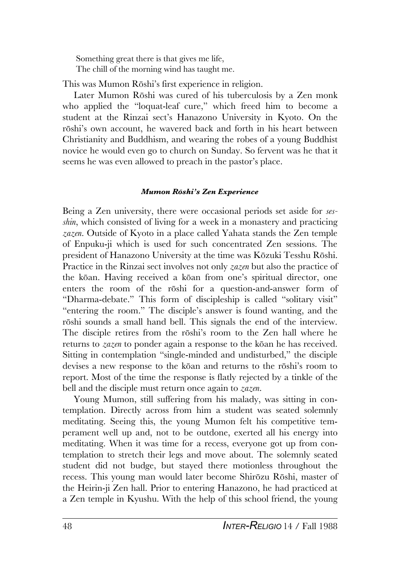Something great there is that gives me life, The chill of the morning wind has taught me.

This was Mumon Rõshi's first experience in religion.

Later Mumon Rõshi was cured of his tuberculosis by a Zen monk who applied the "loquat-leaf cure," which freed him to become a student at the Rinzai sect's Hanazono University in Kyoto. On the rõshi's own account, he wavered back and forth in his heart between Christianity and Buddhism, and wearing the robes of a young Buddhist novice he would even go to church on Sunday. So fervent was he that it seems he was even allowed to preach in the pastor's place.

## *Mumon Rõshi's Zen Experience*

Being a Zen university, there were occasional periods set aside for *sesshin*, which consisted of living for a week in a monastery and practicing *zazen*. Outside of Kyoto in a place called Yahata stands the Zen temple of Enpuku-ji which is used for such concentrated Zen sessions. The president of Hanazono University at the time was Kõzuki Tesshu Rõshi. Practice in the Rinzai sect involves not only *zazen* but also the practice of the kõan. Having received a kõan from one's spiritual director, one enters the room of the rõshi for a question-and-answer form of "Dharma-debate." This form of discipleship is called "solitary visit" "entering the room." The disciple's answer is found wanting, and the rõshi sounds a small hand bell. This signals the end of the interview. The disciple retires from the rõshi's room to the Zen hall where he returns to *zazen* to ponder again a response to the kõan he has received. Sitting in contemplation "single-minded and undisturbed," the disciple devises a new response to the kõan and returns to the rõshi's room to report. Most of the time the response is flatly rejected by a tinkle of the bell and the disciple must return once again to *zazen*.

Young Mumon, still suffering from his malady, was sitting in contemplation. Directly across from him a student was seated solemnly meditating. Seeing this, the young Mumon felt his competitive temperament well up and, not to be outdone, exerted all his energy into meditating. When it was time for a recess, everyone got up from contemplation to stretch their legs and move about. The solemnly seated student did not budge, but stayed there motionless throughout the recess. This young man would later become Shirõzu Rõshi, master of the Heirin-ji Zen hall. Prior to entering Hanazono, he had practiced at a Zen temple in Kyushu. With the help of this school friend, the young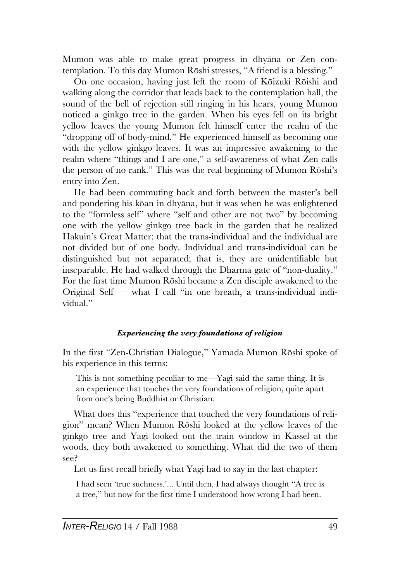Mumon was able to make great progress in dhyãna or Zen contemplation. To this day Mumon Rõshi stresses, "A friend is a blessing."

On one occasion, having just left the room of Kõizuki Rõishi and walking along the corridor that leads back to the contemplation hall, the sound of the bell of rejection still ringing in his hears, young Mumon noticed a ginkgo tree in the garden. When his eyes fell on its bright yellow leaves the young Mumon felt himself enter the realm of the "dropping off of body-mind." He experienced himself as becoming one with the yellow ginkgo leaves. It was an impressive awakening to the realm where "things and I are one," a self-awareness of what Zen calls the person of no rank." This was the real beginning of Mumon Rõshi's entry into Zen.

He had been commuting back and forth between the master's bell and pondering his kõan in dhyãna, but it was when he was enlightened to the "formless self" where "self and other are not two" by becoming one with the yellow ginkgo tree back in the garden that he realized Hakuin's Great Matter: that the trans-individual and the individual are not divided but of one body. Individual and trans-individual can be distinguished but not separated; that is, they are unidentifiable but inseparable. He had walked through the Dharma gate of "non-duality." For the first time Mumon Rõshi became a Zen disciple awakened to the Original Self — what I call "in one breath, a trans-individual individual."

## *Experiencing the very foundations of religion*

In the first "Zen-Christian Dialogue," Yamada Mumon Rõshi spoke of his experience in this terms:

This is not something peculiar to me—Yagi said the same thing. It is an experience that touches the very foundations of religion, quite apart from one's being Buddhist or Christian.

What does this "experience that touched the very foundations of religion" mean? When Mumon Rõshi looked at the yellow leaves of the ginkgo tree and Yagi looked out the train window in Kassel at the woods, they both awakened to something. What did the two of them see?

Let us first recall briefly what Yagi had to say in the last chapter:

I had seen 'true suchness.'... Until then, I had always thought "A tree is a tree," but now for the first time I understood how wrong I had been.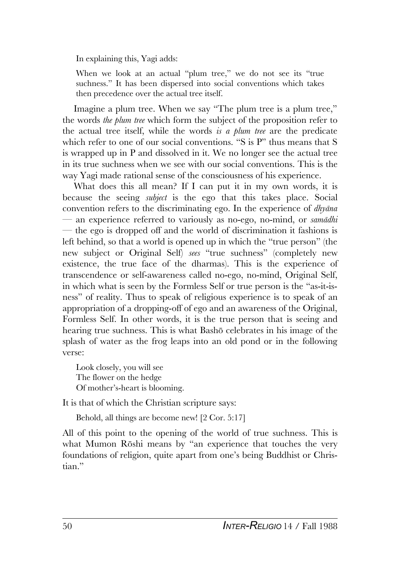In explaining this, Yagi adds:

When we look at an actual "plum tree," we do not see its "true suchness." It has been dispersed into social conventions which takes then precedence over the actual tree itself.

Imagine a plum tree. When we say "The plum tree is a plum tree," the words *the plum tree* which form the subject of the proposition refer to the actual tree itself, while the words *is a plum tree* are the predicate which refer to one of our social conventions. "S is P" thus means that S is wrapped up in P and dissolved in it. We no longer see the actual tree in its true suchness when we see with our social conventions. This is the way Yagi made rational sense of the consciousness of his experience.

What does this all mean? If I can put it in my own words, it is because the seeing *subject* is the ego that this takes place. Social convention refers to the discriminating ego. In the experience of *dhyãna* — an experience referred to variously as no-ego, no-mind, or *samãdhi* — the ego is dropped off and the world of discrimination it fashions is left behind, so that a world is opened up in which the "true person" (the new subject or Original Self) *sees* "true suchness" (completely new existence, the true face of the dharmas). This is the experience of transcendence or self-awareness called no-ego, no-mind, Original Self, in which what is seen by the Formless Self or true person is the "as-it-isness" of reality. Thus to speak of religious experience is to speak of an appropriation of a dropping-off of ego and an awareness of the Original, Formless Self. In other words, it is the true person that is seeing and hearing true suchness. This is what Bashõ celebrates in his image of the splash of water as the frog leaps into an old pond or in the following verse:

Look closely, you will see The flower on the hedge Of mother's-heart is blooming.

It is that of which the Christian scripture says:

Behold, all things are become new! [2 Cor. 5:17]

All of this point to the opening of the world of true suchness. This is what Mumon Rõshi means by "an experience that touches the very foundations of religion, quite apart from one's being Buddhist or Christian."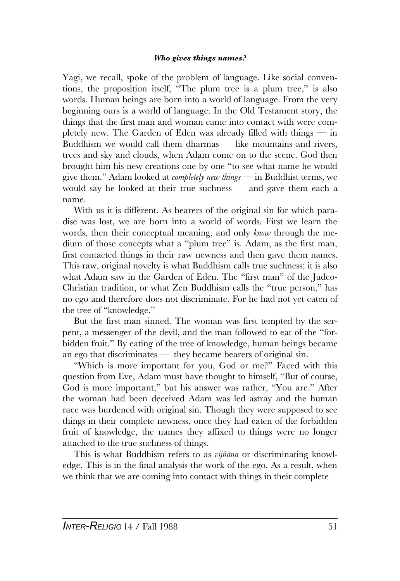## *Who gives things names?*

Yagi, we recall, spoke of the problem of language. Like social conventions, the proposition itself, "The plum tree is a plum tree," is also words. Human beings are born into a world of language. From the very beginning ours is a world of language. In the Old Testament story, the things that the first man and woman came into contact with were completely new. The Garden of Eden was already filled with things  $-$  in Buddhism we would call them dharmas — like mountains and rivers, trees and sky and clouds, when Adam come on to the scene. God then brought him his new creations one by one "to see what name he would give them." Adam looked at *completely new things* — in Buddhist terms, we would say he looked at their true suchness — and gave them each a name.

With us it is different. As bearers of the original sin for which paradise was lost, we are born into a world of words. First we learn the words, then their conceptual meaning, and only *know* through the medium of those concepts what a "plum tree" is. Adam, as the first man, first contacted things in their raw newness and then gave them names. This raw, original novelty is what Buddhism calls true suchness; it is also what Adam saw in the Garden of Eden. The "first man" of the Judeo-Christian tradition, or what Zen Buddhism calls the "true person," has no ego and therefore does not discriminate. For he had not yet eaten of the tree of "knowledge."

But the first man sinned. The woman was first tempted by the serpent, a messenger of the devil, and the man followed to eat of the "forbidden fruit." By eating of the tree of knowledge, human beings became an ego that discriminates — they became bearers of original sin.

"Which is more important for you, God or me?" Faced with this question from Eve, Adam must have thought to himself, "But of course, God is more important," but his answer was rather, "You are." After the woman had been deceived Adam was led astray and the human race was burdened with original sin. Though they were supposed to see things in their complete newness, once they had eaten of the forbidden fruit of knowledge, the names they affixed to things were no longer attached to the true suchness of things.

This is what Buddhism refers to as *vijñãna* or discriminating knowledge. This is in the final analysis the work of the ego. As a result, when we think that we are coming into contact with things in their complete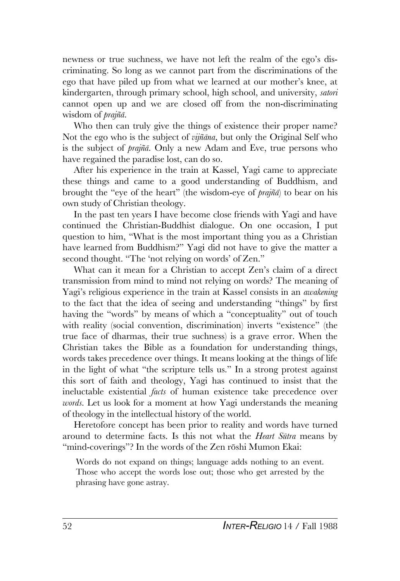newness or true suchness, we have not left the realm of the ego's discriminating. So long as we cannot part from the discriminations of the ego that have piled up from what we learned at our mother's knee, at kindergarten, through primary school, high school, and university, *satori* cannot open up and we are closed off from the non-discriminating wisdom of *prajñã*.

Who then can truly give the things of existence their proper name? Not the ego who is the subject of *vijñãna*, but only the Original Self who is the subject of *prajñã*. Only a new Adam and Eve, true persons who have regained the paradise lost, can do so.

After his experience in the train at Kassel, Yagi came to appreciate these things and came to a good understanding of Buddhism, and brought the "eye of the heart" (the wisdom-eye of *prajñã*) to bear on his own study of Christian theology.

In the past ten years I have become close friends with Yagi and have continued the Christian-Buddhist dialogue. On one occasion, I put question to him, "What is the most important thing you as a Christian have learned from Buddhism?" Yagi did not have to give the matter a second thought. "The 'not relying on words' of Zen."

What can it mean for a Christian to accept Zen's claim of a direct transmission from mind to mind not relying on words? The meaning of Yagi's religious experience in the train at Kassel consists in an *awakening* to the fact that the idea of seeing and understanding "things" by first having the "words" by means of which a "conceptuality" out of touch with reality (social convention, discrimination) inverts "existence" (the true face of dharmas, their true suchness) is a grave error. When the Christian takes the Bible as a foundation for understanding things, words takes precedence over things. It means looking at the things of life in the light of what "the scripture tells us." In a strong protest against this sort of faith and theology, Yagi has continued to insist that the ineluctable existential *facts* of human existence take precedence over *words*. Let us look for a moment at how Yagi understands the meaning of theology in the intellectual history of the world.

Heretofore concept has been prior to reality and words have turned around to determine facts. Is this not what the *Heart Sûtra* means by "mind-coverings"? In the words of the Zen rōshi Mumon Ekai:

Words do not expand on things; language adds nothing to an event. Those who accept the words lose out; those who get arrested by the phrasing have gone astray.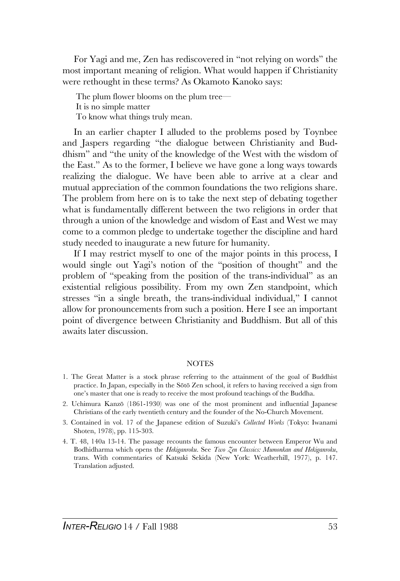For Yagi and me, Zen has rediscovered in "not relying on words" the most important meaning of religion. What would happen if Christianity were rethought in these terms? As Okamoto Kanoko says:

The plum flower blooms on the plum tree— It is no simple matter To know what things truly mean.

In an earlier chapter I alluded to the problems posed by Toynbee and Jaspers regarding "the dialogue between Christianity and Buddhism" and "the unity of the knowledge of the West with the wisdom of the East." As to the former, I believe we have gone a long ways towards realizing the dialogue. We have been able to arrive at a clear and mutual appreciation of the common foundations the two religions share. The problem from here on is to take the next step of debating together what is fundamentally different between the two religions in order that through a union of the knowledge and wisdom of East and West we may come to a common pledge to undertake together the discipline and hard study needed to inaugurate a new future for humanity.

If I may restrict myself to one of the major points in this process, I would single out Yagi's notion of the "position of thought" and the problem of "speaking from the position of the trans-individual" as an existential religious possibility. From my own Zen standpoint, which stresses "in a single breath, the trans-individual individual," I cannot allow for pronouncements from such a position. Here I see an important point of divergence between Christianity and Buddhism. But all of this awaits later discussion.

#### NOTES

- 1. The Great Matter is a stock phrase referring to the attainment of the goal of Buddhist practice. In Japan, especially in the Sõtõ Zen school, it refers to having received a sign from one's master that one is ready to receive the most profound teachings of the Buddha.
- 2. Uchimura Kanzõ (1861-1930) was one of the most prominent and influential Japanese Christians of the early twentieth century and the founder of the No-Church Movement.
- 3. Contained in vol. 17 of the Japanese edition of Suzuki's *Collected Works* (Tokyo: Iwanami Shoten, 1978), pp. 115-303.
- 4. T. 48, 140a 13-14. The passage recounts the famous encounter between Emperor Wu and Bodhidharma which opens the *Hekiganroku*. See *Two Zen Classics: Mumonkan and Hekiganroku*, trans. With commentaries of Katsuki Sekida (New York: Weatherhill, 1977), p. 147. Translation adjusted.